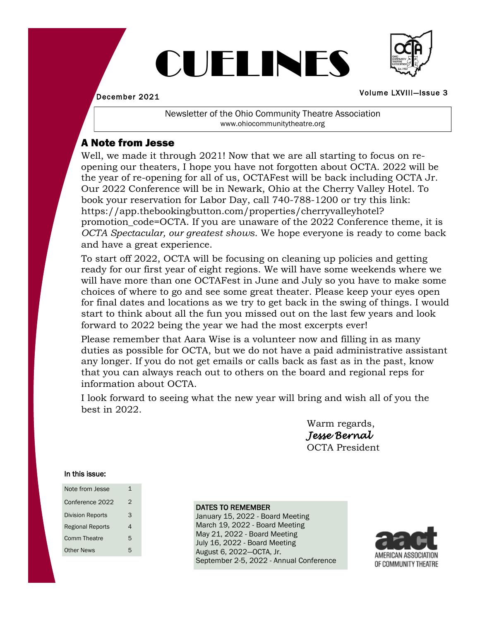# CUELINES



December 2021

#### Volume LXVIIl—Issue 3

Newsletter of the Ohio Community Theatre Association www.ohiocommunitytheatre.org

### A Note from Jesse

Well, we made it through 2021! Now that we are all starting to focus on reopening our theaters, I hope you have not forgotten about OCTA. 2022 will be the year of re-opening for all of us, OCTAFest will be back including OCTA Jr. Our 2022 Conference will be in Newark, Ohio at the Cherry Valley Hotel. To book your reservation for Labor Day, call 740-788-1200 or try this link: https://app.thebookingbutton.com/properties/cherryvalleyhotel? promotion\_code=OCTA. If you are unaware of the 2022 Conference theme, it is *OCTA Spectacular, our greatest shows*. We hope everyone is ready to come back and have a great experience.

To start off 2022, OCTA will be focusing on cleaning up policies and getting ready for our first year of eight regions. We will have some weekends where we will have more than one OCTAFest in June and July so you have to make some choices of where to go and see some great theater. Please keep your eyes open for final dates and locations as we try to get back in the swing of things. I would start to think about all the fun you missed out on the last few years and look forward to 2022 being the year we had the most excerpts ever!

Please remember that Aara Wise is a volunteer now and filling in as many duties as possible for OCTA, but we do not have a paid administrative assistant any longer. If you do not get emails or calls back as fast as in the past, know that you can always reach out to others on the board and regional reps for information about OCTA.

I look forward to seeing what the new year will bring and wish all of you the best in 2022.

> Warm regards, *Jesse Bernal* OCTA President

#### In this issue:

| Note from Jesse         | 1 |
|-------------------------|---|
| Conference 2022         | 2 |
| <b>Division Reports</b> | 3 |
| <b>Regional Reports</b> | 4 |
| Comm Theatre            | 5 |
| <b>Other News</b>       | 5 |

#### DATES TO REMEMBER

January 15, 2022 - Board Meeting March 19, 2022 - Board Meeting May 21, 2022 - Board Meeting July 16, 2022 - Board Meeting August 6, 2022—OCTA, Jr. September 2-5, 2022 - Annual Conference

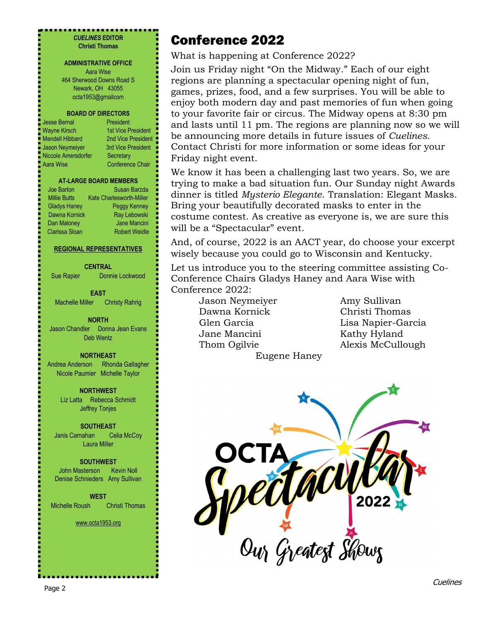#### ............... *CUELINES* **EDITOR Christi Thomas**

#### **ADMINISTRATIVE OFFICE**

Aara Wise 464 Sherwood Downs Road S Newark, OH 43055 octa1953@gmailcom

#### **BOARD OF DIRECTORS**

Jesse Bernal **President** Niccole Amersdorfer Secretary Aara Wise Conference Chair

Wayne Kirsch 1st Vice President Mendell Hibbard 2nd Vice President Jason Neymeiyer 3rd Vice President

#### **AT-LARGE BOARD MEMBERS**

Joe Barton Susan Barzda Millie Butts Kate Charlesworth-Miller Gladys Haney Peggy Kenney Dawna Kornick Ray Lebowski Dan Maloney **Jane Mancini** Clarissa Sloan Robert Weidle

#### **REGIONAL REPRESENTATIVES**

**CENTRAL**

Sue Rapier Donnie Lockwood

**EAST** Machelle Miller Christy Rahrig

**NORTH** Jason Chandler Donna Jean Evans Deb Wentz

**NORTHEAST** Andrea Anderson Rhonda Gallagher Nicole Paumier Michelle Taylor

> **NORTHWEST** Liz Latta Rebecca Schmidt Jeffrey Tonjes

**SOUTHEAST** Janis Carnahan Celia McCoy Laura Miller

**SOUTHWEST** John Masterson Kevin Noll Denise Schnieders Amy Sullivan

**WEST** Michelle Roush Christi Thomas

www.octa1953.org

## Conference 2022

What is happening at Conference 2022?

Join us Friday night "On the Midway." Each of our eight regions are planning a spectacular opening night of fun, games, prizes, food, and a few surprises. You will be able to enjoy both modern day and past memories of fun when going to your favorite fair or circus. The Midway opens at 8:30 pm and lasts until 11 pm. The regions are planning now so we will be announcing more details in future issues of *Cuelines*. Contact Christi for more information or some ideas for your Friday night event.

We know it has been a challenging last two years. So, we are trying to make a bad situation fun. Our Sunday night Awards dinner is titled *Mysterio Elegante*. Translation: Elegant Masks. Bring your beautifully decorated masks to enter in the costume contest. As creative as everyone is, we are sure this will be a "Spectacular" event.

And, of course, 2022 is an AACT year, do choose your excerpt wisely because you could go to Wisconsin and Kentucky.

Let us introduce you to the steering committee assisting Co-Conference Chairs Gladys Haney and Aara Wise with Conference 2022:

> Jason Neymeiyer Amy Sullivan Dawna Kornick Christi Thomas Jane Mancini Kathy Hyland Eugene Haney

Glen Garcia Lisa Napier-Garcia Thom Ogilvie **Alexis McCullough** 

ped MOVIC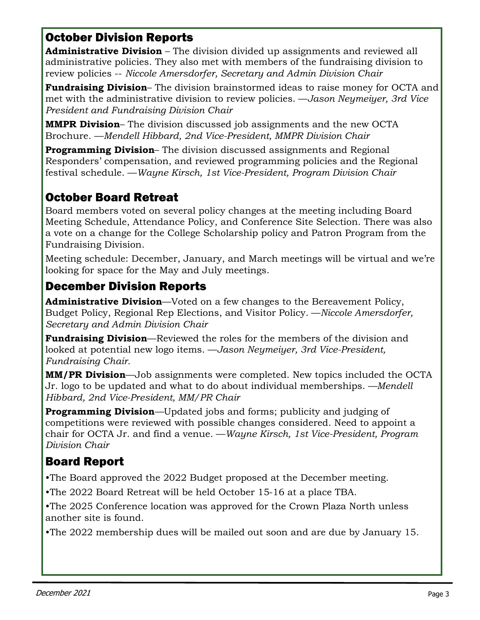### October Division Reports

**Administrative Division** – The division divided up assignments and reviewed all administrative policies. They also met with members of the fundraising division to review policies -- *Niccole Amersdorfer, Secretary and Admin Division Chair* 

**Fundraising Division**– The division brainstormed ideas to raise money for OCTA and met with the administrative division to review policies. —*Jason Neymeiyer, 3rd Vice President and Fundraising Division Chair* 

**MMPR Division**– The division discussed job assignments and the new OCTA Brochure. —*Mendell Hibbard, 2nd Vice-President, MMPR Division Chair*

**Programming Division**– The division discussed assignments and Regional Responders' compensation, and reviewed programming policies and the Regional festival schedule. —*Wayne Kirsch, 1st Vice-President, Program Division Chair* 

### October Board Retreat

Board members voted on several policy changes at the meeting including Board Meeting Schedule, Attendance Policy, and Conference Site Selection. There was also a vote on a change for the College Scholarship policy and Patron Program from the Fundraising Division.

Meeting schedule: December, January, and March meetings will be virtual and we're looking for space for the May and July meetings.

### December Division Reports

**Administrative Division**—Voted on a few changes to the Bereavement Policy, Budget Policy, Regional Rep Elections, and Visitor Policy. —*Niccole Amersdorfer, Secretary and Admin Division Chair* 

**Fundraising Division**—Reviewed the roles for the members of the division and looked at potential new logo items. —*Jason Neymeiyer, 3rd Vice-President, Fundraising Chair.*

**MM/PR Division**—Job assignments were completed. New topics included the OCTA Jr. logo to be updated and what to do about individual memberships. *—Mendell Hibbard, 2nd Vice-President, MM/PR Chair*

**Programming Division**—Updated jobs and forms; publicity and judging of competitions were reviewed with possible changes considered. Need to appoint a chair for OCTA Jr. and find a venue. —*Wayne Kirsch, 1st Vice-President, Program Division Chair*

### Board Report

•The Board approved the 2022 Budget proposed at the December meeting.

•The 2022 Board Retreat will be held October 15-16 at a place TBA.

•The 2025 Conference location was approved for the Crown Plaza North unless another site is found.

•The 2022 membership dues will be mailed out soon and are due by January 15.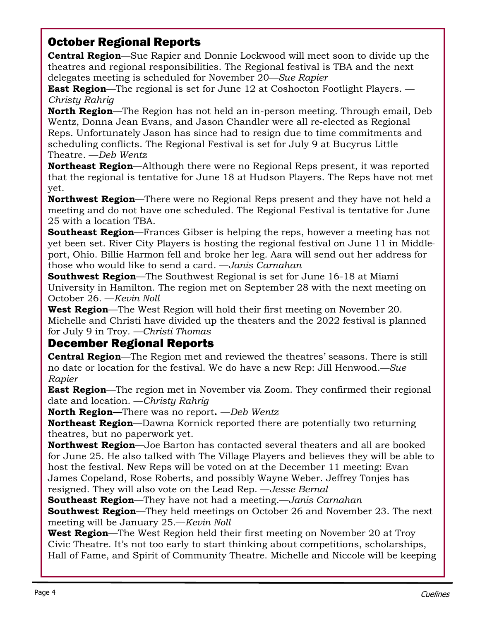### October Regional Reports

**Central Region**—Sue Rapier and Donnie Lockwood will meet soon to divide up the theatres and regional responsibilities. The Regional festival is TBA and the next delegates meeting is scheduled for November 20*—Sue Rapier*

**East Region**—The regional is set for June 12 at Coshocton Footlight Players. — *Christy Rahrig*

**North Region**—The Region has not held an in-person meeting. Through email, Deb Wentz, Donna Jean Evans, and Jason Chandler were all re-elected as Regional Reps. Unfortunately Jason has since had to resign due to time commitments and scheduling conflicts. The Regional Festival is set for July 9 at Bucyrus Little Theatre. —*Deb Wentz*

**Northeast Region**—Although there were no Regional Reps present, it was reported that the regional is tentative for June 18 at Hudson Players. The Reps have not met yet.

**Northwest Region**—There were no Regional Reps present and they have not held a meeting and do not have one scheduled. The Regional Festival is tentative for June 25 with a location TBA.

**Southeast Region**—Frances Gibser is helping the reps, however a meeting has not yet been set. River City Players is hosting the regional festival on June 11 in Middleport, Ohio. Billie Harmon fell and broke her leg. Aara will send out her address for those who would like to send a card. —*Janis Carnahan*

**Southwest Region**—The Southwest Regional is set for June 16-18 at Miami University in Hamilton. The region met on September 28 with the next meeting on October 26. —*Kevin Noll*

**West Region**—The West Region will hold their first meeting on November 20. Michelle and Christi have divided up the theaters and the 2022 festival is planned for July 9 in Troy*. —Christi Thomas*

### December Regional Reports

**Central Region**—The Region met and reviewed the theatres' seasons. There is still no date or location for the festival. We do have a new Rep: Jill Henwood.*—Sue Rapier*

**East Region**—The region met in November via Zoom. They confirmed their regional date and location. —*Christy Rahrig*

**North Region—**There was no report**.** —*Deb Wentz*

**Northeast Region**—Dawna Kornick reported there are potentially two returning theatres, but no paperwork yet.

**Northwest Region**—Joe Barton has contacted several theaters and all are booked for June 25. He also talked with The Village Players and believes they will be able to host the festival. New Reps will be voted on at the December 11 meeting: Evan James Copeland, Rose Roberts, and possibly Wayne Weber. Jeffrey Tonjes has resigned. They will also vote on the Lead Rep. —*Jesse Bernal*

**Southeast Region**—They have not had a meeting.—*Janis Carnahan*

**Southwest Region**—They held meetings on October 26 and November 23. The next meeting will be January 25.—*Kevin Noll*

**West Region**—The West Region held their first meeting on November 20 at Troy Civic Theatre. It's not too early to start thinking about competitions, scholarships, Hall of Fame, and Spirit of Community Theatre. Michelle and Niccole will be keeping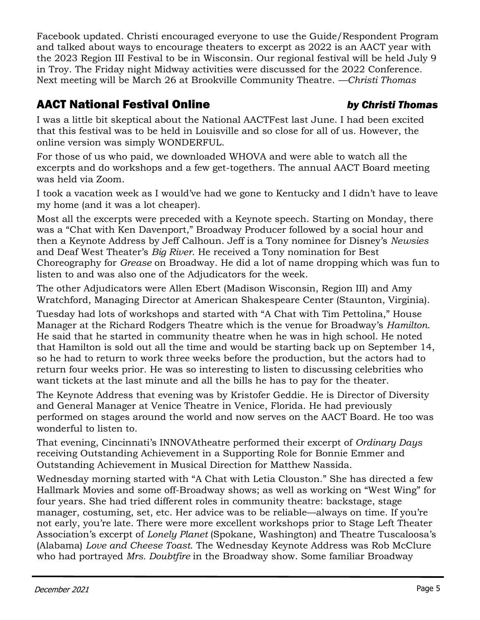Facebook updated. Christi encouraged everyone to use the Guide/Respondent Program and talked about ways to encourage theaters to excerpt as 2022 is an AACT year with the 2023 Region III Festival to be in Wisconsin. Our regional festival will be held July 9 in Troy. The Friday night Midway activities were discussed for the 2022 Conference. Next meeting will be March 26 at Brookville Community Theatre. *—Christi Thomas*

### AACT National Festival Online *by Christi Thomas*

I was a little bit skeptical about the National AACTFest last June. I had been excited that this festival was to be held in Louisville and so close for all of us. However, the online version was simply WONDERFUL.

For those of us who paid, we downloaded WHOVA and were able to watch all the excerpts and do workshops and a few get-togethers. The annual AACT Board meeting was held via Zoom.

I took a vacation week as I would've had we gone to Kentucky and I didn't have to leave my home (and it was a lot cheaper).

Most all the excerpts were preceded with a Keynote speech. Starting on Monday, there was a "Chat with Ken Davenport," Broadway Producer followed by a social hour and then a Keynote Address by Jeff Calhoun. Jeff is a Tony nominee for Disney's *Newsies* and Deaf West Theater's *Big River*. He received a Tony nomination for Best Choreography for *Grease* on Broadway. He did a lot of name dropping which was fun to listen to and was also one of the Adjudicators for the week.

The other Adjudicators were Allen Ebert (Madison Wisconsin, Region III) and Amy Wratchford, Managing Director at American Shakespeare Center (Staunton, Virginia).

Tuesday had lots of workshops and started with "A Chat with Tim Pettolina," House Manager at the Richard Rodgers Theatre which is the venue for Broadway's *Hamilton*. He said that he started in community theatre when he was in high school. He noted that Hamilton is sold out all the time and would be starting back up on September 14, so he had to return to work three weeks before the production, but the actors had to return four weeks prior. He was so interesting to listen to discussing celebrities who want tickets at the last minute and all the bills he has to pay for the theater.

The Keynote Address that evening was by Kristofer Geddie. He is Director of Diversity and General Manager at Venice Theatre in Venice, Florida. He had previously performed on stages around the world and now serves on the AACT Board. He too was wonderful to listen to.

That evening, Cincinnati's INNOVAtheatre performed their excerpt of *Ordinary Days*  receiving Outstanding Achievement in a Supporting Role for Bonnie Emmer and Outstanding Achievement in Musical Direction for Matthew Nassida.

Wednesday morning started with "A Chat with Letia Clouston." She has directed a few Hallmark Movies and some off-Broadway shows; as well as working on "West Wing" for four years. She had tried different roles in community theatre: backstage, stage manager, costuming, set, etc. Her advice was to be reliable—always on time. If you're not early, you're late. There were more excellent workshops prior to Stage Left Theater Association's excerpt of *Lonely Planet* (Spokane, Washington) and Theatre Tuscaloosa's (Alabama) *Love and Cheese Toast*. The Wednesday Keynote Address was Rob McClure who had portrayed *Mrs. Doubtfire* in the Broadway show. Some familiar Broadway